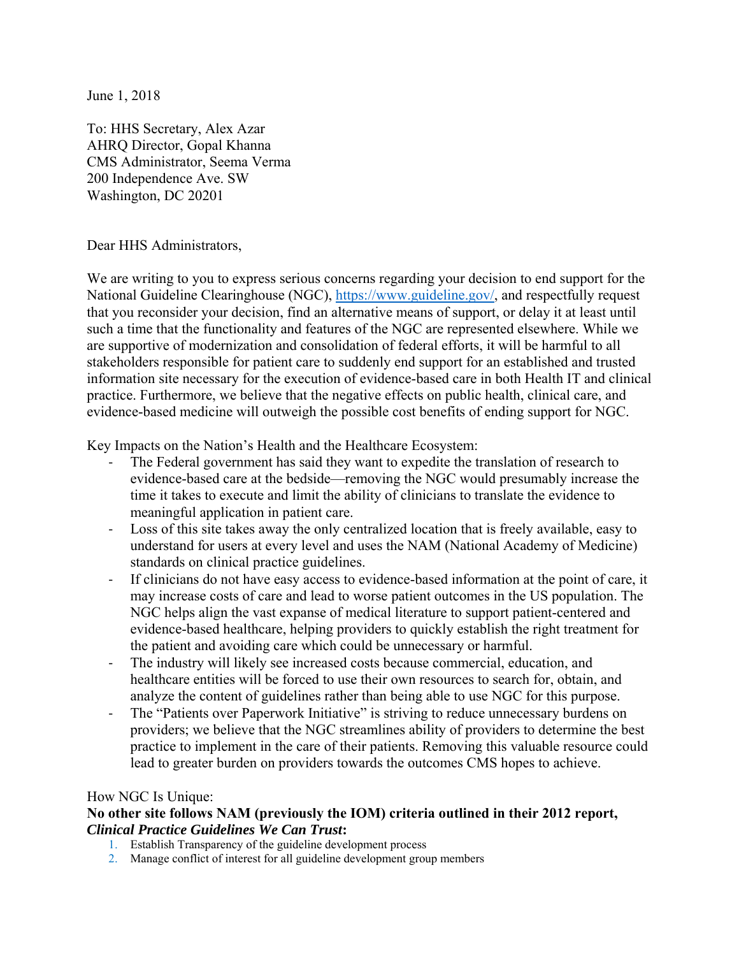June 1, 2018

To: HHS Secretary, Alex Azar AHRQ Director, Gopal Khanna CMS Administrator, Seema Verma 200 Independence Ave. SW Washington, DC 20201

Dear HHS Administrators,

We are writing to you to express serious concerns regarding your decision to end support for the National Guideline Clearinghouse (NGC), https://www.guideline.gov/, and respectfully request that you reconsider your decision, find an alternative means of support, or delay it at least until such a time that the functionality and features of the NGC are represented elsewhere. While we are supportive of modernization and consolidation of federal efforts, it will be harmful to all stakeholders responsible for patient care to suddenly end support for an established and trusted information site necessary for the execution of evidence-based care in both Health IT and clinical practice. Furthermore, we believe that the negative effects on public health, clinical care, and evidence-based medicine will outweigh the possible cost benefits of ending support for NGC.

Key Impacts on the Nation's Health and the Healthcare Ecosystem:

- The Federal government has said they want to expedite the translation of research to evidence-based care at the bedside—removing the NGC would presumably increase the time it takes to execute and limit the ability of clinicians to translate the evidence to meaningful application in patient care.
- ‐ Loss of this site takes away the only centralized location that is freely available, easy to understand for users at every level and uses the NAM (National Academy of Medicine) standards on clinical practice guidelines.
- If clinicians do not have easy access to evidence-based information at the point of care, it may increase costs of care and lead to worse patient outcomes in the US population. The NGC helps align the vast expanse of medical literature to support patient-centered and evidence-based healthcare, helping providers to quickly establish the right treatment for the patient and avoiding care which could be unnecessary or harmful.
- The industry will likely see increased costs because commercial, education, and healthcare entities will be forced to use their own resources to search for, obtain, and analyze the content of guidelines rather than being able to use NGC for this purpose.
- The "Patients over Paperwork Initiative" is striving to reduce unnecessary burdens on providers; we believe that the NGC streamlines ability of providers to determine the best practice to implement in the care of their patients. Removing this valuable resource could lead to greater burden on providers towards the outcomes CMS hopes to achieve.

## How NGC Is Unique:

## **No other site follows NAM (previously the IOM) criteria outlined in their 2012 report,**  *Clinical Practice Guidelines We Can Trust***:**

- 1. Establish Transparency of the guideline development process
- 2. Manage conflict of interest for all guideline development group members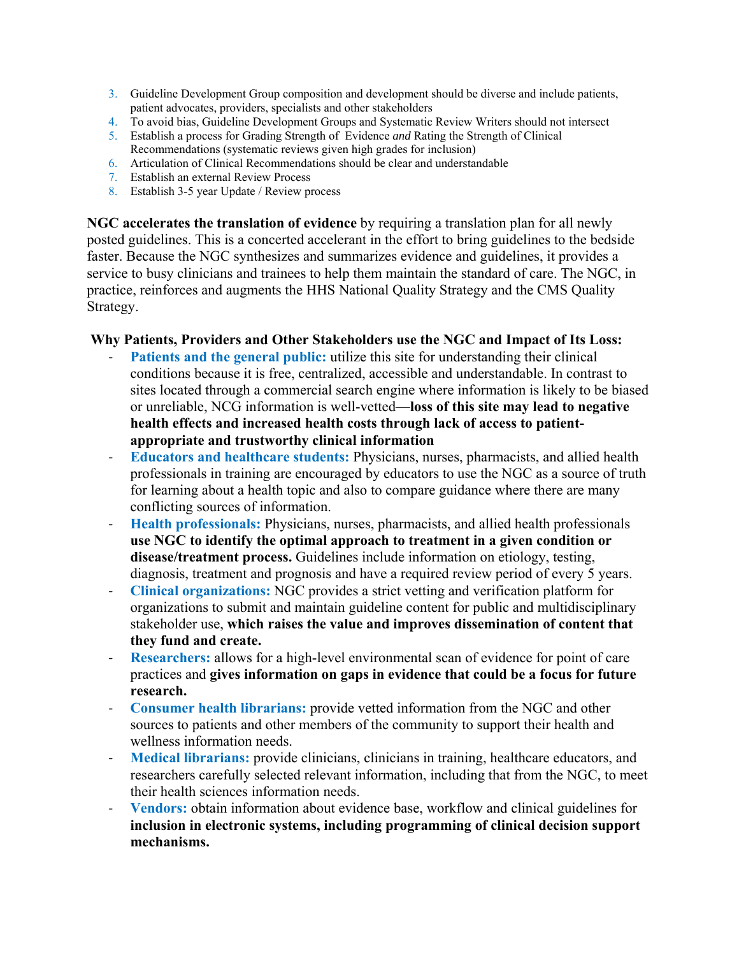- 3. Guideline Development Group composition and development should be diverse and include patients, patient advocates, providers, specialists and other stakeholders
- 4. To avoid bias, Guideline Development Groups and Systematic Review Writers should not intersect
- 5. Establish a process for Grading Strength of Evidence *and* Rating the Strength of Clinical Recommendations (systematic reviews given high grades for inclusion)
- 6. Articulation of Clinical Recommendations should be clear and understandable
- 7. Establish an external Review Process
- 8. Establish 3-5 year Update / Review process

**NGC accelerates the translation of evidence** by requiring a translation plan for all newly posted guidelines. This is a concerted accelerant in the effort to bring guidelines to the bedside faster. Because the NGC synthesizes and summarizes evidence and guidelines, it provides a service to busy clinicians and trainees to help them maintain the standard of care. The NGC, in practice, reinforces and augments the HHS National Quality Strategy and the CMS Quality Strategy.

## **Why Patients, Providers and Other Stakeholders use the NGC and Impact of Its Loss:**

- Patients and the general public: utilize this site for understanding their clinical conditions because it is free, centralized, accessible and understandable. In contrast to sites located through a commercial search engine where information is likely to be biased or unreliable, NCG information is well-vetted—**loss of this site may lead to negative health effects and increased health costs through lack of access to patientappropriate and trustworthy clinical information**
- ‐ **Educators and healthcare students:** Physicians, nurses, pharmacists, and allied health professionals in training are encouraged by educators to use the NGC as a source of truth for learning about a health topic and also to compare guidance where there are many conflicting sources of information.
- ‐ **Health professionals:** Physicians, nurses, pharmacists, and allied health professionals **use NGC to identify the optimal approach to treatment in a given condition or disease/treatment process.** Guidelines include information on etiology, testing, diagnosis, treatment and prognosis and have a required review period of every 5 years.
- ‐ **Clinical organizations:** NGC provides a strict vetting and verification platform for organizations to submit and maintain guideline content for public and multidisciplinary stakeholder use, **which raises the value and improves dissemination of content that they fund and create.**
- ‐ **Researchers:** allows for a high-level environmental scan of evidence for point of care practices and **gives information on gaps in evidence that could be a focus for future research.**
- ‐ **Consumer health librarians:** provide vetted information from the NGC and other sources to patients and other members of the community to support their health and wellness information needs.
- ‐ **Medical librarians:** provide clinicians, clinicians in training, healthcare educators, and researchers carefully selected relevant information, including that from the NGC, to meet their health sciences information needs.
- **Vendors:** obtain information about evidence base, workflow and clinical guidelines for **inclusion in electronic systems, including programming of clinical decision support mechanisms.**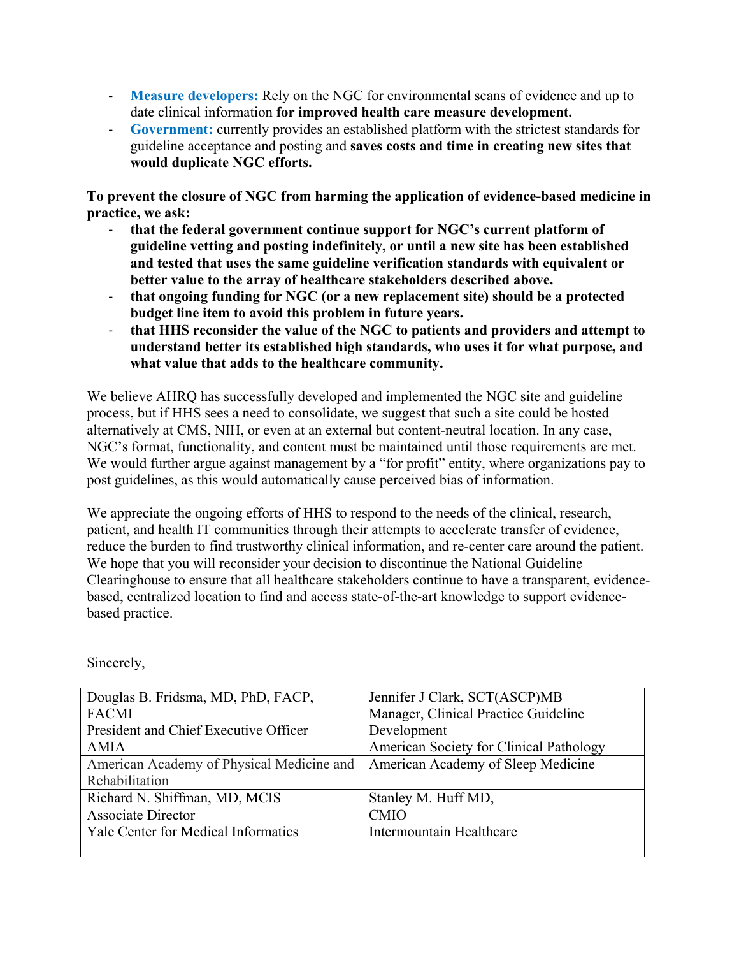- ‐ **Measure developers:** Rely on the NGC for environmental scans of evidence and up to date clinical information **for improved health care measure development.**
- ‐ **Government:** currently provides an established platform with the strictest standards for guideline acceptance and posting and **saves costs and time in creating new sites that would duplicate NGC efforts.**

**To prevent the closure of NGC from harming the application of evidence-based medicine in practice, we ask:** 

- ‐ **that the federal government continue support for NGC's current platform of guideline vetting and posting indefinitely, or until a new site has been established and tested that uses the same guideline verification standards with equivalent or better value to the array of healthcare stakeholders described above.**
- ‐ **that ongoing funding for NGC (or a new replacement site) should be a protected budget line item to avoid this problem in future years.**
- ‐ **that HHS reconsider the value of the NGC to patients and providers and attempt to understand better its established high standards, who uses it for what purpose, and what value that adds to the healthcare community.**

We believe AHRQ has successfully developed and implemented the NGC site and guideline process, but if HHS sees a need to consolidate, we suggest that such a site could be hosted alternatively at CMS, NIH, or even at an external but content-neutral location. In any case, NGC's format, functionality, and content must be maintained until those requirements are met. We would further argue against management by a "for profit" entity, where organizations pay to post guidelines, as this would automatically cause perceived bias of information.

We appreciate the ongoing efforts of HHS to respond to the needs of the clinical, research, patient, and health IT communities through their attempts to accelerate transfer of evidence, reduce the burden to find trustworthy clinical information, and re-center care around the patient. We hope that you will reconsider your decision to discontinue the National Guideline Clearinghouse to ensure that all healthcare stakeholders continue to have a transparent, evidencebased, centralized location to find and access state-of-the-art knowledge to support evidencebased practice.

| Douglas B. Fridsma, MD, PhD, FACP,         | Jennifer J Clark, SCT(ASCP)MB           |
|--------------------------------------------|-----------------------------------------|
| <b>FACMI</b>                               | Manager, Clinical Practice Guideline    |
| President and Chief Executive Officer      | Development                             |
| AMIA                                       | American Society for Clinical Pathology |
| American Academy of Physical Medicine and  | American Academy of Sleep Medicine      |
| Rehabilitation                             |                                         |
| Richard N. Shiffman, MD, MCIS              | Stanley M. Huff MD,                     |
| <b>Associate Director</b>                  | <b>CMIO</b>                             |
| <b>Yale Center for Medical Informatics</b> | Intermountain Healthcare                |
|                                            |                                         |

Sincerely,